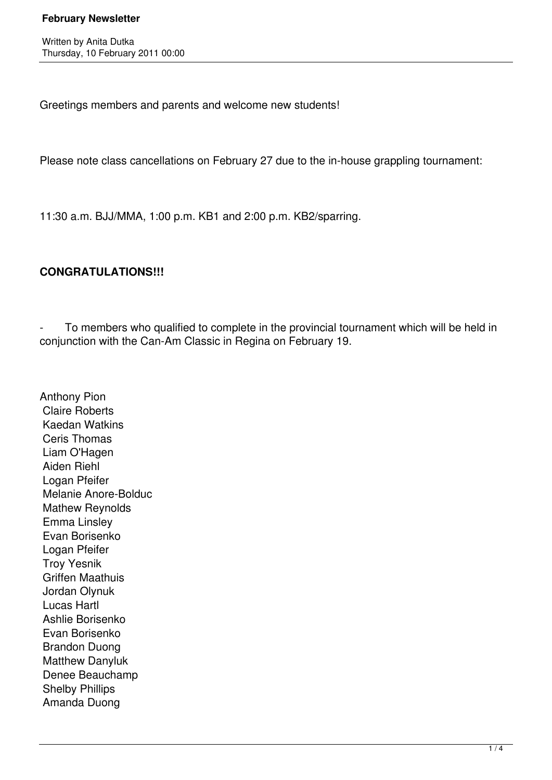Written by Anita Dutka Thursday, 10 February 2011 00:00

Greetings members and parents and welcome new students!

Please note class cancellations on February 27 due to the in-house grappling tournament:

11:30 a.m. BJJ/MMA, 1:00 p.m. KB1 and 2:00 p.m. KB2/sparring.

### **CONGRATULATIONS!!!**

To members who qualified to complete in the provincial tournament which will be held in conjunction with the Can-Am Classic in Regina on February 19.

Anthony Pion Claire Roberts Kaedan Watkins Ceris Thomas Liam O'Hagen Aiden Riehl Logan Pfeifer Melanie Anore-Bolduc Mathew Reynolds Emma Linsley Evan Borisenko Logan Pfeifer Troy Yesnik Griffen Maathuis Jordan Olynuk Lucas Hartl Ashlie Borisenko Evan Borisenko Brandon Duong Matthew Danyluk Denee Beauchamp Shelby Phillips Amanda Duong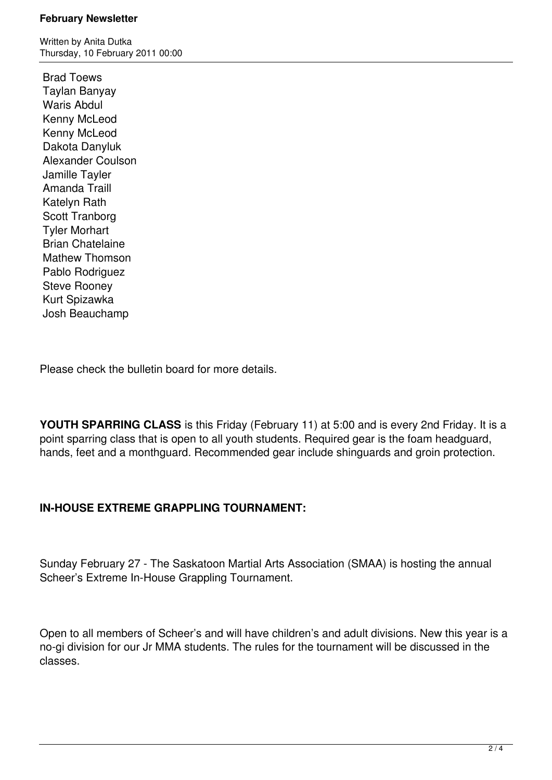Written by Anita Dutka Thursday, 10 February 2011 00:00

 Brad Toews Taylan Banyay Waris Abdul Kenny McLeod Kenny McLeod Dakota Danyluk Alexander Coulson Jamille Tayler Amanda Traill Katelyn Rath Scott Tranborg Tyler Morhart Brian Chatelaine Mathew Thomson Pablo Rodriguez Steve Rooney Kurt Spizawka Josh Beauchamp

Please check the bulletin board for more details.

**YOUTH SPARRING CLASS** is this Friday (February 11) at 5:00 and is every 2nd Friday. It is a point sparring class that is open to all youth students. Required gear is the foam headguard, hands, feet and a monthguard. Recommended gear include shinguards and groin protection.

# **IN-HOUSE EXTREME GRAPPLING TOURNAMENT:**

Sunday February 27 - The Saskatoon Martial Arts Association (SMAA) is hosting the annual Scheer's Extreme In-House Grappling Tournament.

Open to all members of Scheer's and will have children's and adult divisions. New this year is a no-gi division for our Jr MMA students. The rules for the tournament will be discussed in the classes.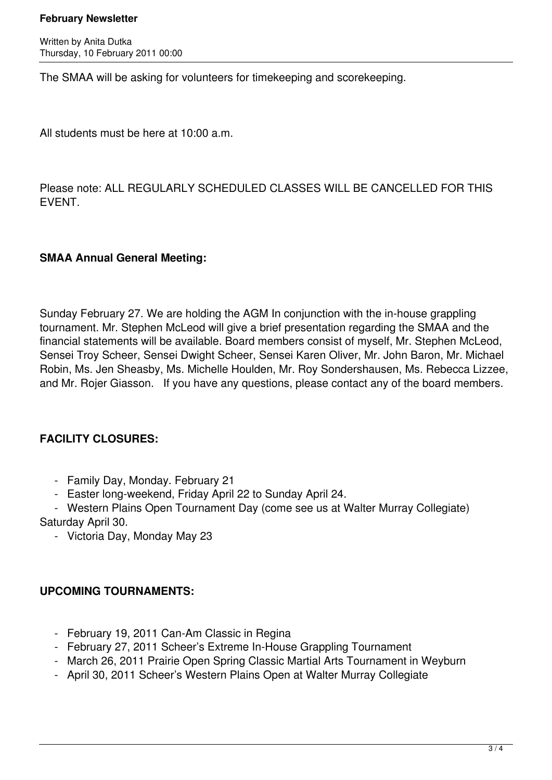Written by Anita Dutka Thursday, 10 February 2011 00:00

The SMAA will be asking for volunteers for timekeeping and scorekeeping.

All students must be here at 10:00 a.m.

Please note: ALL REGULARLY SCHEDULED CLASSES WILL BE CANCELLED FOR THIS EVENT.

### **SMAA Annual General Meeting:**

Sunday February 27. We are holding the AGM In conjunction with the in-house grappling tournament. Mr. Stephen McLeod will give a brief presentation regarding the SMAA and the financial statements will be available. Board members consist of myself, Mr. Stephen McLeod, Sensei Troy Scheer, Sensei Dwight Scheer, Sensei Karen Oliver, Mr. John Baron, Mr. Michael Robin, Ms. Jen Sheasby, Ms. Michelle Houlden, Mr. Roy Sondershausen, Ms. Rebecca Lizzee, and Mr. Rojer Giasson. If you have any questions, please contact any of the board members.

## **FACILITY CLOSURES:**

- Family Day, Monday. February 21
- Easter long-weekend, Friday April 22 to Sunday April 24.
- Western Plains Open Tournament Day (come see us at Walter Murray Collegiate) Saturday April 30.
	- Victoria Day, Monday May 23

### **UPCOMING TOURNAMENTS:**

- February 19, 2011 Can-Am Classic in Regina
- February 27, 2011 Scheer's Extreme In-House Grappling Tournament
- March 26, 2011 Prairie Open Spring Classic Martial Arts Tournament in Weyburn
- April 30, 2011 Scheer's Western Plains Open at Walter Murray Collegiate